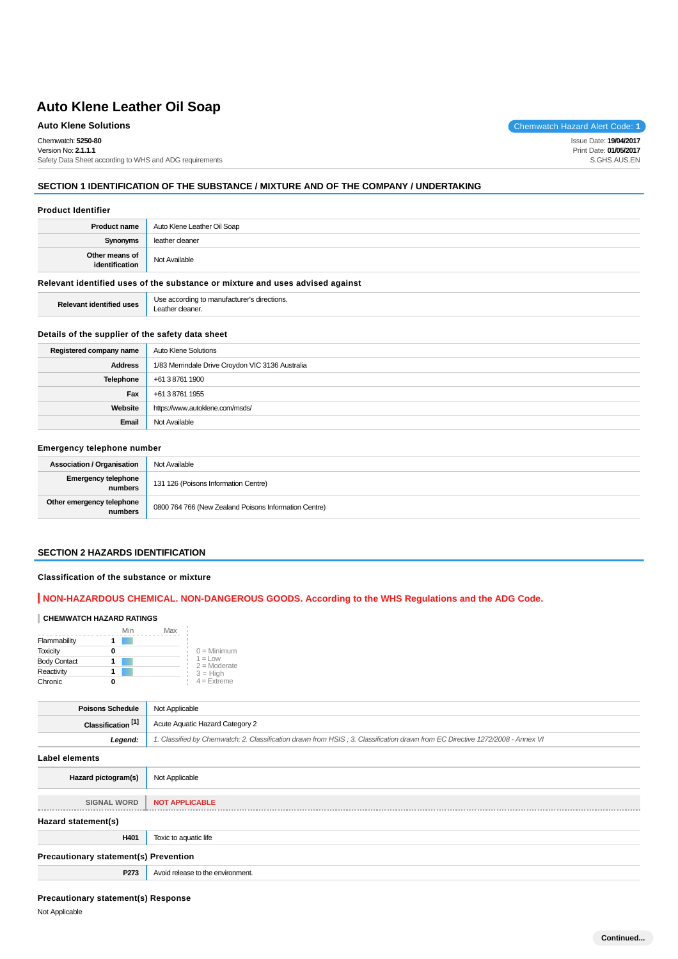Chemwatch: **5250-80**

Version No: **2.1.1.1** Safety Data Sheet according to WHS and ADG requirements

## **SECTION 1 IDENTIFICATION OF THE SUBSTANCE / MIXTURE AND OF THE COMPANY / UNDERTAKING**

#### **Product Identifier**

| <b>Product name</b>              | Auto Klene Leather Oil Soap |
|----------------------------------|-----------------------------|
| Synonyms                         | leather cleaner             |
| Other means of<br>identification | Not Available               |

## **Relevant identified uses of the substance or mixture and uses advised against**

**Relevant identified uses** Use according to manufacturer's directions. Leather cleaner.

#### **Details of the supplier of the safety data sheet**

| Registered company name | <b>Auto Klene Solutions</b>                      |
|-------------------------|--------------------------------------------------|
| <b>Address</b>          | 1/83 Merrindale Drive Croydon VIC 3136 Australia |
| <b>Telephone</b>        | +61 3 8761 1900                                  |
| Fax                     | +61 3 8761 1955                                  |
| Website                 | https://www.autoklene.com/msds/                  |
| Email                   | Not Available                                    |

#### **Emergency telephone number**

| <b>Association / Organisation</b>    | Not Available                                         |
|--------------------------------------|-------------------------------------------------------|
| Emergency telephone<br>numbers       | 131 126 (Poisons Information Centre)                  |
| Other emergency telephone<br>numbers | 0800 764 766 (New Zealand Poisons Information Centre) |

#### **SECTION 2 HAZARDS IDENTIFICATION**

#### **Classification of the substance or mixture**

## **NON-HAZARDOUS CHEMICAL. NON-DANGEROUS GOODS. According to the WHS Regulations and the ADG Code.**

#### **CHEMWATCH HAZARD RATINGS**

|                     | Min | Max |                              |
|---------------------|-----|-----|------------------------------|
| Flammability        |     |     |                              |
| <b>Toxicity</b>     |     |     | $0 =$ Minimum                |
| <b>Body Contact</b> |     |     | $1 = 1$ OW<br>$2 =$ Moderate |
| Reactivity          |     |     | $3 = High$                   |
| Chronic             |     |     | $4 =$ Extreme                |

| <b>Poisons Schedule</b>       | Not Applicable                                                                                                                |
|-------------------------------|-------------------------------------------------------------------------------------------------------------------------------|
| Classification <sup>[1]</sup> | Acute Aquatic Hazard Category 2                                                                                               |
| Leaend:                       | 1. Classified by Chemwatch; 2. Classification drawn from HSIS; 3. Classification drawn from EC Directive 1272/2008 - Annex VI |

**Label elements**

| Label elements                               |                                   |  |
|----------------------------------------------|-----------------------------------|--|
| Hazard pictogram(s)                          | Not Applicable                    |  |
|                                              |                                   |  |
| <b>SIGNAL WORD</b>                           | <b>NOT APPLICABLE</b>             |  |
|                                              |                                   |  |
| Hazard statement(s)                          |                                   |  |
| H401                                         | Toxic to aquatic life             |  |
| <b>Precautionary statement(s) Prevention</b> |                                   |  |
| P273                                         | Avoid release to the environment. |  |

#### **Precautionary statement(s) Response**

Not Applicable

**Auto Klene Solutions** Chemwatch Hazard Alert Code: 1

Issue Date: **19/04/2017** Print Date: **01/05/2017** S.GHS.AUS.EN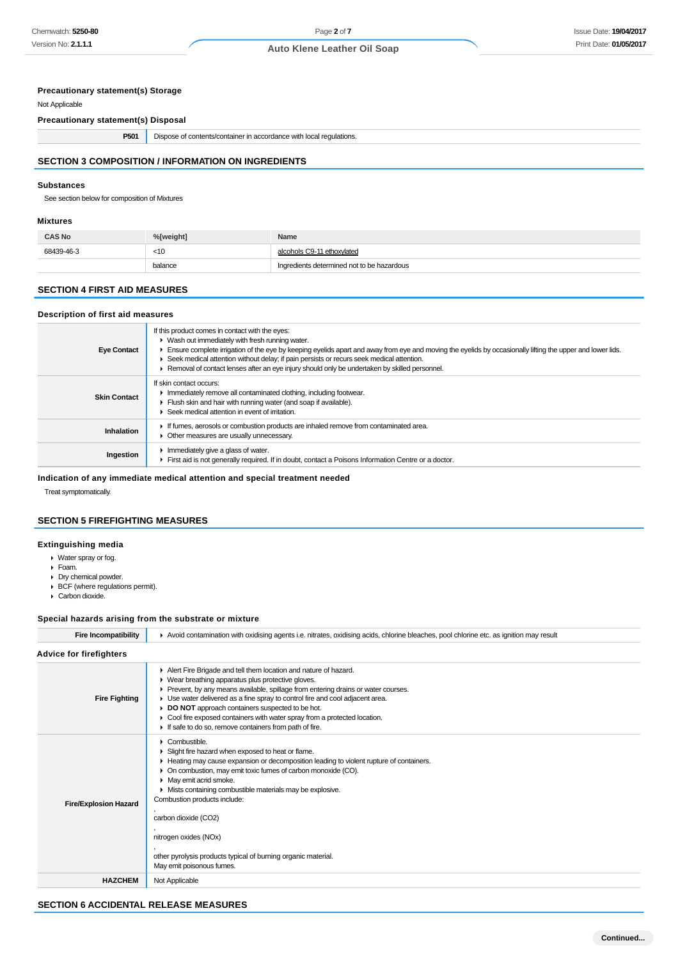## **Precautionary statement(s) Storage**

Not Applicable

**Precautionary statement(s) Disposal**

| P501 | Dispose of contents/container in accordance with local regulations. |
|------|---------------------------------------------------------------------|
|------|---------------------------------------------------------------------|

## **SECTION 3 COMPOSITION / INFORMATION ON INGREDIENTS**

#### **Substances**

See section below for composition of Mixtures

#### **Mixtures**

| <b>CAS No</b> | %[weight] | Name                                       |
|---------------|-----------|--------------------------------------------|
| 68439-46-3    | $<$ 10    | alcohols C9-11 ethoxylated                 |
|               | balance   | Ingredients determined not to be hazardous |

#### **SECTION 4 FIRST AID MEASURES**

#### **Description of first aid measures**

| <b>Eye Contact</b>  | If this product comes in contact with the eyes:<br>• Wash out immediately with fresh running water.<br>Ensure complete irrigation of the eye by keeping eyelids apart and away from eye and moving the eyelids by occasionally lifting the upper and lower lids.<br>► Seek medical attention without delay; if pain persists or recurs seek medical attention.<br>Removal of contact lenses after an eye injury should only be undertaken by skilled personnel. |
|---------------------|-----------------------------------------------------------------------------------------------------------------------------------------------------------------------------------------------------------------------------------------------------------------------------------------------------------------------------------------------------------------------------------------------------------------------------------------------------------------|
| <b>Skin Contact</b> | If skin contact occurs:<br>In mediately remove all contaminated clothing, including footwear.<br>Flush skin and hair with running water (and soap if available).<br>Seek medical attention in event of irritation.                                                                                                                                                                                                                                              |
| <b>Inhalation</b>   | If fumes, aerosols or combustion products are inhaled remove from contaminated area.<br>• Other measures are usually unnecessary.                                                                                                                                                                                                                                                                                                                               |
| Ingestion           | Immediately give a glass of water.<br>First aid is not generally required. If in doubt, contact a Poisons Information Centre or a doctor.                                                                                                                                                                                                                                                                                                                       |

**Indication of any immediate medical attention and special treatment needed**

Treat symptomatically.

## **SECTION 5 FIREFIGHTING MEASURES**

## **Extinguishing media**

- Water spray or fog.
- Foam.
- **Dry chemical powder.** BCF (where regulations permit).
- ▶ Carbon dioxide.

#### **Special hazards arising from the substrate or mixture**

Fire Incompatibility **A** Avoid contamination with oxidising agents i.e. nitrates, oxidising acids, chlorine bleaches, pool chlorine etc. as ignition may result

| <b>Advice for firefighters</b> |                                                                                                                                                                                                                                                                                                                                                                                                                                                                                                                          |
|--------------------------------|--------------------------------------------------------------------------------------------------------------------------------------------------------------------------------------------------------------------------------------------------------------------------------------------------------------------------------------------------------------------------------------------------------------------------------------------------------------------------------------------------------------------------|
| <b>Fire Fighting</b>           | Alert Fire Brigade and tell them location and nature of hazard.<br>• Wear breathing apparatus plus protective gloves.<br>► Prevent, by any means available, spillage from entering drains or water courses.<br>• Use water delivered as a fine spray to control fire and cool adjacent area.<br>DO NOT approach containers suspected to be hot.<br>• Cool fire exposed containers with water spray from a protected location.<br>If safe to do so, remove containers from path of fire.                                  |
| <b>Fire/Explosion Hazard</b>   | $\triangleright$ Combustible.<br>• Slight fire hazard when exposed to heat or flame.<br>• Heating may cause expansion or decomposition leading to violent rupture of containers.<br>On combustion, may emit toxic fumes of carbon monoxide (CO).<br>• May emit acrid smoke.<br>• Mists containing combustible materials may be explosive.<br>Combustion products include:<br>carbon dioxide (CO2)<br>nitrogen oxides (NOx)<br>other pyrolysis products typical of burning organic material.<br>May emit poisonous fumes. |
| <b>HAZCHEM</b>                 | Not Applicable                                                                                                                                                                                                                                                                                                                                                                                                                                                                                                           |

## **SECTION 6 ACCIDENTAL RELEASE MEASURES**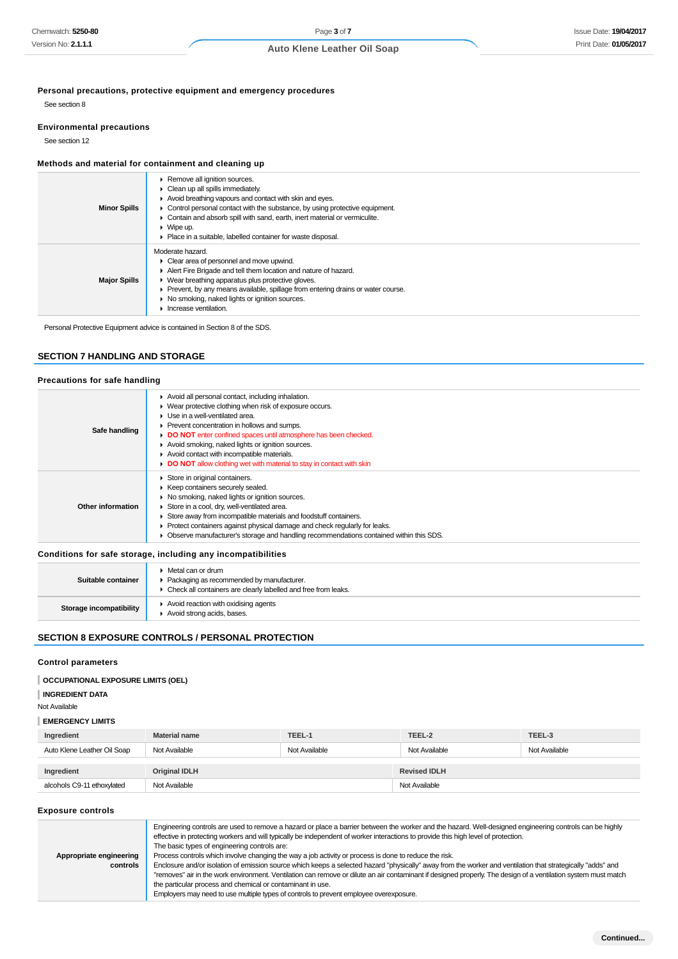**Personal precautions, protective equipment and emergency procedures**

See section 8

#### **Environmental precautions**

See section 12

## **Methods and material for containment and cleaning up**

| <b>Minor Spills</b> | ▶ Remove all ignition sources.<br>• Clean up all spills immediately.<br>Avoid breathing vapours and contact with skin and eyes.<br>Control personal contact with the substance, by using protective equipment.<br>Contain and absorb spill with sand, earth, inert material or vermiculite.<br>$\blacktriangleright$ Wipe up.<br>• Place in a suitable, labelled container for waste disposal. |
|---------------------|------------------------------------------------------------------------------------------------------------------------------------------------------------------------------------------------------------------------------------------------------------------------------------------------------------------------------------------------------------------------------------------------|
| <b>Major Spills</b> | Moderate hazard.<br>• Clear area of personnel and move upwind.<br>Alert Fire Brigade and tell them location and nature of hazard.<br>• Wear breathing apparatus plus protective gloves.<br>• Prevent, by any means available, spillage from entering drains or water course.<br>• No smoking, naked lights or ignition sources.<br>Increase ventilation.                                       |

Personal Protective Equipment advice is contained in Section 8 of the SDS.

## **SECTION 7 HANDLING AND STORAGE**

## **Precautions for safe handling**

| Safe handling                                                | Avoid all personal contact, including inhalation.<br>• Wear protective clothing when risk of exposure occurs.<br>• Use in a well-ventilated area.<br>▶ Prevent concentration in hollows and sumps.<br>DO NOT enter confined spaces until atmosphere has been checked.<br>Avoid smoking, naked lights or ignition sources.<br>Avoid contact with incompatible materials.<br>DO NOT allow clothing wet with material to stay in contact with skin |  |
|--------------------------------------------------------------|-------------------------------------------------------------------------------------------------------------------------------------------------------------------------------------------------------------------------------------------------------------------------------------------------------------------------------------------------------------------------------------------------------------------------------------------------|--|
| Other information                                            | Store in original containers.<br>▶ Keep containers securely sealed.<br>• No smoking, naked lights or ignition sources.<br>Store in a cool, dry, well-ventilated area.<br>Store away from incompatible materials and foodstuff containers.<br>▶ Protect containers against physical damage and check regularly for leaks.<br>• Observe manufacturer's storage and handling recommendations contained within this SDS.                            |  |
| Conditions for safe storage, including any incompatibilities |                                                                                                                                                                                                                                                                                                                                                                                                                                                 |  |
|                                                              | $\blacktriangleright$ Metal can or drum                                                                                                                                                                                                                                                                                                                                                                                                         |  |

| Suitable container      | $\triangleright$ Metal can or drum<br>• Packaging as recommended by manufacturer. |
|-------------------------|-----------------------------------------------------------------------------------|
|                         | • Check all containers are clearly labelled and free from leaks.                  |
| Storage incompatibility | Avoid reaction with oxidising agents<br>Avoid strong acids, bases.                |

## **SECTION 8 EXPOSURE CONTROLS / PERSONAL PROTECTION**

## **Control parameters**

#### **INGREDIENT DATA**

Not Available

## **EMERGENCY LIMITS**

| Ingredient                  | <b>Material name</b> | TEEL-1        | TEEL-2              | TEEL-3        |  |
|-----------------------------|----------------------|---------------|---------------------|---------------|--|
| Auto Klene Leather Oil Soap | Not Available        | Not Available | Not Available       | Not Available |  |
|                             |                      |               |                     |               |  |
| Ingredient                  | <b>Original IDLH</b> |               | <b>Revised IDLH</b> |               |  |
| alcohols C9-11 ethoxylated  | Not Available        |               | Not Available       |               |  |

#### **Exposure controls**

| Engineering controls are used to remove a hazard or place a barrier between the worker and the hazard. Well-designed engineering controls can be highly<br>effective in protecting workers and will typically be independent of worker interactions to provide this high level of protection.<br>The basic types of engineering controls are:<br>Process controls which involve changing the way a job activity or process is done to reduce the risk.<br>Appropriate engineering<br>Enclosure and/or isolation of emission source which keeps a selected hazard "physically" away from the worker and ventilation that strategically "adds" and<br>controls<br>"removes" air in the work environment. Ventilation can remove or dilute an air contaminant if designed properly. The design of a ventilation system must match<br>the particular process and chemical or contaminant in use.<br>Employers may need to use multiple types of controls to prevent employee overexposure. |  |
|----------------------------------------------------------------------------------------------------------------------------------------------------------------------------------------------------------------------------------------------------------------------------------------------------------------------------------------------------------------------------------------------------------------------------------------------------------------------------------------------------------------------------------------------------------------------------------------------------------------------------------------------------------------------------------------------------------------------------------------------------------------------------------------------------------------------------------------------------------------------------------------------------------------------------------------------------------------------------------------|--|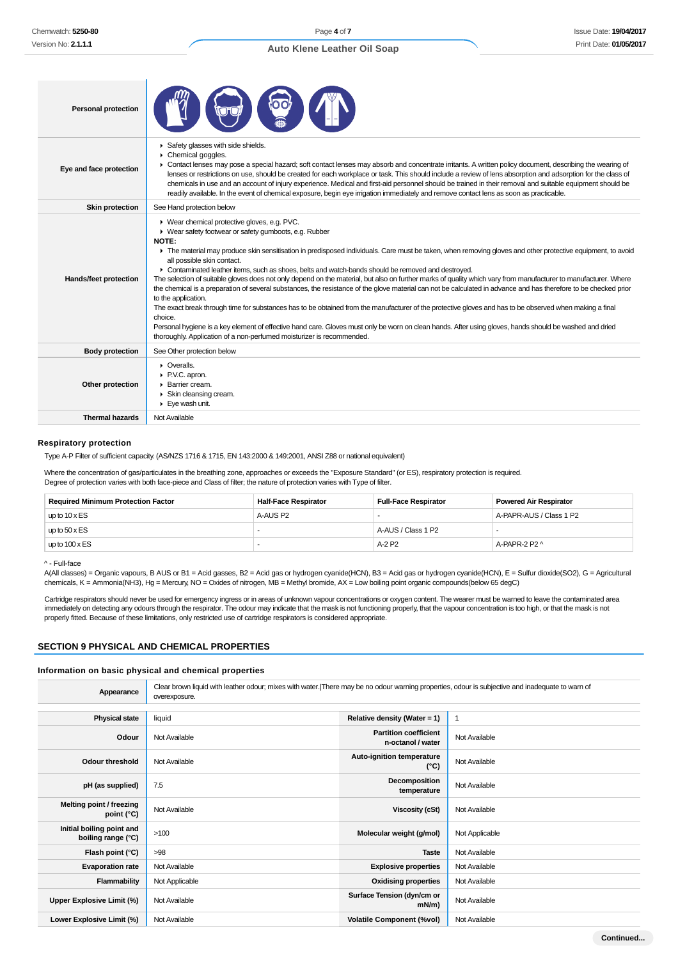## Issue Date: **19/04/2017** Print Date: **01/05/2017**

| <b>Personal protection</b> |                                                                                                                                                                                                                                                                                                                                                                                                                                                                                                                                                                                                                                                                                                                                                                                                                                                                                                                                                                                                                                                                                                                                                                                            |
|----------------------------|--------------------------------------------------------------------------------------------------------------------------------------------------------------------------------------------------------------------------------------------------------------------------------------------------------------------------------------------------------------------------------------------------------------------------------------------------------------------------------------------------------------------------------------------------------------------------------------------------------------------------------------------------------------------------------------------------------------------------------------------------------------------------------------------------------------------------------------------------------------------------------------------------------------------------------------------------------------------------------------------------------------------------------------------------------------------------------------------------------------------------------------------------------------------------------------------|
| Eye and face protection    | Safety glasses with side shields.<br>Chemical goggles.<br>► Contact lenses may pose a special hazard; soft contact lenses may absorb and concentrate irritants. A written policy document, describing the wearing of<br>lenses or restrictions on use, should be created for each workplace or task. This should include a review of lens absorption and adsorption for the class of<br>chemicals in use and an account of injury experience. Medical and first-aid personnel should be trained in their removal and suitable equipment should be<br>readily available. In the event of chemical exposure, begin eye irrigation immediately and remove contact lens as soon as practicable.                                                                                                                                                                                                                                                                                                                                                                                                                                                                                                |
| <b>Skin protection</b>     | See Hand protection below                                                                                                                                                                                                                                                                                                                                                                                                                                                                                                                                                                                                                                                                                                                                                                                                                                                                                                                                                                                                                                                                                                                                                                  |
| Hands/feet protection      | ▶ Wear chemical protective gloves, e.g. PVC.<br>▶ Wear safety footwear or safety gumboots, e.g. Rubber<br>NOTE:<br>The material may produce skin sensitisation in predisposed individuals. Care must be taken, when removing gloves and other protective equipment, to avoid<br>all possible skin contact.<br>• Contaminated leather items, such as shoes, belts and watch-bands should be removed and destroyed.<br>The selection of suitable gloves does not only depend on the material, but also on further marks of quality which vary from manufacturer to manufacturer. Where<br>the chemical is a preparation of several substances, the resistance of the glove material can not be calculated in advance and has therefore to be checked prior<br>to the application.<br>The exact break through time for substances has to be obtained from the manufacturer of the protective gloves and has to be observed when making a final<br>choice.<br>Personal hygiene is a key element of effective hand care. Gloves must only be worn on clean hands. After using gloves, hands should be washed and dried<br>thoroughly. Application of a non-perfumed moisturizer is recommended. |
| <b>Body protection</b>     | See Other protection below                                                                                                                                                                                                                                                                                                                                                                                                                                                                                                                                                                                                                                                                                                                                                                                                                                                                                                                                                                                                                                                                                                                                                                 |
| Other protection           | $\triangleright$ Overalls.<br>P.V.C. apron.<br>▶ Barrier cream.<br>Skin cleansing cream.<br>$\blacktriangleright$ Eye wash unit.                                                                                                                                                                                                                                                                                                                                                                                                                                                                                                                                                                                                                                                                                                                                                                                                                                                                                                                                                                                                                                                           |
| <b>Thermal hazards</b>     | Not Available                                                                                                                                                                                                                                                                                                                                                                                                                                                                                                                                                                                                                                                                                                                                                                                                                                                                                                                                                                                                                                                                                                                                                                              |
|                            |                                                                                                                                                                                                                                                                                                                                                                                                                                                                                                                                                                                                                                                                                                                                                                                                                                                                                                                                                                                                                                                                                                                                                                                            |

#### **Respiratory protection**

Type A-P Filter of sufficient capacity. (AS/NZS 1716 & 1715, EN 143:2000 & 149:2001, ANSI Z88 or national equivalent)

Where the concentration of gas/particulates in the breathing zone, approaches or exceeds the "Exposure Standard" (or ES), respiratory protection is required. Degree of protection varies with both face-piece and Class of filter; the nature of protection varies with Type of filter.

| <b>Required Minimum Protection Factor</b> | <b>Half-Face Respirator</b> | <b>Full-Face Respirator</b> | <b>Powered Air Respirator</b> |
|-------------------------------------------|-----------------------------|-----------------------------|-------------------------------|
| up to $10 \times ES$                      | A-AUS P2                    |                             | A-PAPR-AUS / Class 1 P2       |
| up to $50 \times ES$                      |                             | A-AUS / Class 1 P2          |                               |
| up to $100 \times ES$                     |                             | $A-2P2$                     | A-PAPR-2 P2 ^                 |

^ - Full-face

A(All classes) = Organic vapours, B AUS or B1 = Acid gasses, B2 = Acid gas or hydrogen cyanide(HCN), B3 = Acid gas or hydrogen cyanide(HCN), E = Sulfur dioxide(SO2), G = Agricultural chemicals, K = Ammonia(NH3), Hg = Mercury, NO = Oxides of nitrogen, MB = Methyl bromide, AX = Low boiling point organic compounds(below 65 degC)

Cartridge respirators should never be used for emergency ingress or in areas of unknown vapour concentrations or oxygen content. The wearer must be warned to leave the contaminated area immediately on detecting any odours through the respirator. The odour may indicate that the mask is not functioning properly, that the vapour concentration is too high, or that the mask is not properly fitted. Because of these limitations, only restricted use of cartridge respirators is considered appropriate.

## **SECTION 9 PHYSICAL AND CHEMICAL PROPERTIES**

#### **Information on basic physical and chemical properties**

| Appearance                                      | Clear brown liquid with leather odour; mixes with water. There may be no odour warning properties, odour is subjective and inadequate to warn of<br>overexposure. |                                                   |                |
|-------------------------------------------------|-------------------------------------------------------------------------------------------------------------------------------------------------------------------|---------------------------------------------------|----------------|
|                                                 |                                                                                                                                                                   |                                                   |                |
| <b>Physical state</b>                           | liquid                                                                                                                                                            | Relative density (Water = $1$ )                   |                |
| Odour                                           | Not Available                                                                                                                                                     | <b>Partition coefficient</b><br>n-octanol / water | Not Available  |
| <b>Odour threshold</b>                          | Not Available                                                                                                                                                     | Auto-ignition temperature<br>(°C)                 | Not Available  |
| pH (as supplied)                                | 7.5                                                                                                                                                               | Decomposition<br>temperature                      | Not Available  |
| Melting point / freezing<br>point $(^{\circ}C)$ | Not Available                                                                                                                                                     | <b>Viscosity (cSt)</b>                            | Not Available  |
| Initial boiling point and<br>boiling range (°C) | >100                                                                                                                                                              | Molecular weight (g/mol)                          | Not Applicable |
| Flash point (°C)                                | >98                                                                                                                                                               | <b>Taste</b>                                      | Not Available  |
| <b>Evaporation rate</b>                         | Not Available                                                                                                                                                     | <b>Explosive properties</b>                       | Not Available  |
| Flammability                                    | Not Applicable                                                                                                                                                    | <b>Oxidising properties</b>                       | Not Available  |
| Upper Explosive Limit (%)                       | Not Available                                                                                                                                                     | Surface Tension (dyn/cm or<br>$mN/m$ )            | Not Available  |
| Lower Explosive Limit (%)                       | Not Available                                                                                                                                                     | <b>Volatile Component (%vol)</b>                  | Not Available  |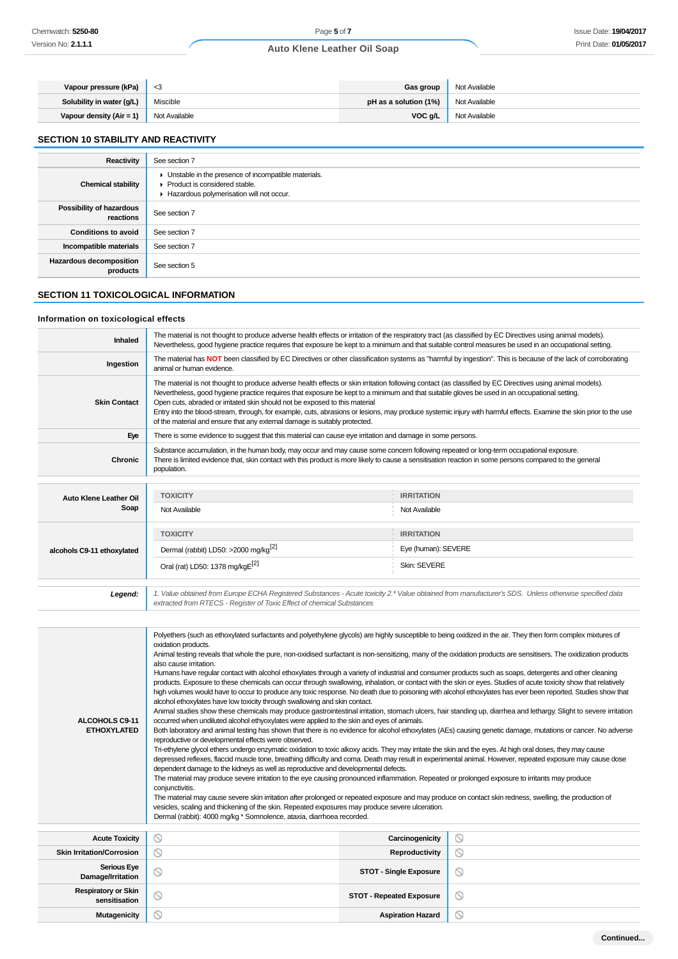| Vapour pressure (kPa)     | - <3          | <b>Gas group</b>                           | Not Available |
|---------------------------|---------------|--------------------------------------------|---------------|
| Solubility in water (g/L) | Miscible      | <b>pH as a solution (1%)</b> Not Available |               |
| Vapour density (Air = 1)  | Not Available | VOC g/L                                    | Not Available |

## **SECTION 10 STABILITY AND REACTIVITY**

| Reactivity                                 | See section 7                                                                                                                      |
|--------------------------------------------|------------------------------------------------------------------------------------------------------------------------------------|
| <b>Chemical stability</b>                  | • Unstable in the presence of incompatible materials.<br>Product is considered stable.<br>Hazardous polymerisation will not occur. |
| Possibility of hazardous<br>reactions      | See section 7                                                                                                                      |
| <b>Conditions to avoid</b>                 | See section 7                                                                                                                      |
| Incompatible materials                     | See section 7                                                                                                                      |
| <b>Hazardous decomposition</b><br>products | See section 5                                                                                                                      |

# **SECTION 11 TOXICOLOGICAL INFORMATION**

## **Information on toxicological effects**

| Inhaled                                     | The material is not thought to produce adverse health effects or irritation of the respiratory tract (as classified by EC Directives using animal models).<br>Nevertheless, good hygiene practice requires that exposure be kept to a minimum and that suitable control measures be used in an occupational setting.                                                                                                                                                                                                                                                                                                                                                                                                                                                                                                                                                                                                                                                                                                                                                                                                                                                                                                                                                                                                                                                                                                                                                                                                                                                                                                                                                                                                                                                                                                                                                                                                                                                                                                                                                                                                                                                                                                                                                                                                                                                                    |                       |                |  |  |
|---------------------------------------------|-----------------------------------------------------------------------------------------------------------------------------------------------------------------------------------------------------------------------------------------------------------------------------------------------------------------------------------------------------------------------------------------------------------------------------------------------------------------------------------------------------------------------------------------------------------------------------------------------------------------------------------------------------------------------------------------------------------------------------------------------------------------------------------------------------------------------------------------------------------------------------------------------------------------------------------------------------------------------------------------------------------------------------------------------------------------------------------------------------------------------------------------------------------------------------------------------------------------------------------------------------------------------------------------------------------------------------------------------------------------------------------------------------------------------------------------------------------------------------------------------------------------------------------------------------------------------------------------------------------------------------------------------------------------------------------------------------------------------------------------------------------------------------------------------------------------------------------------------------------------------------------------------------------------------------------------------------------------------------------------------------------------------------------------------------------------------------------------------------------------------------------------------------------------------------------------------------------------------------------------------------------------------------------------------------------------------------------------------------------------------------------------|-----------------------|----------------|--|--|
| Ingestion                                   | The material has NOT been classified by EC Directives or other classification systems as "harmful by ingestion". This is because of the lack of corroborating<br>animal or human evidence.                                                                                                                                                                                                                                                                                                                                                                                                                                                                                                                                                                                                                                                                                                                                                                                                                                                                                                                                                                                                                                                                                                                                                                                                                                                                                                                                                                                                                                                                                                                                                                                                                                                                                                                                                                                                                                                                                                                                                                                                                                                                                                                                                                                              |                       |                |  |  |
| <b>Skin Contact</b>                         | The material is not thought to produce adverse health effects or skin irritation following contact (as classified by EC Directives using animal models).<br>Nevertheless, good hygiene practice requires that exposure be kept to a minimum and that suitable gloves be used in an occupational setting.<br>Open cuts, abraded or irritated skin should not be exposed to this material<br>Entry into the blood-stream, through, for example, cuts, abrasions or lesions, may produce systemic injury with harmful effects. Examine the skin prior to the use<br>of the material and ensure that any external damage is suitably protected.                                                                                                                                                                                                                                                                                                                                                                                                                                                                                                                                                                                                                                                                                                                                                                                                                                                                                                                                                                                                                                                                                                                                                                                                                                                                                                                                                                                                                                                                                                                                                                                                                                                                                                                                             |                       |                |  |  |
| Eye                                         | There is some evidence to suggest that this material can cause eye irritation and damage in some persons.                                                                                                                                                                                                                                                                                                                                                                                                                                                                                                                                                                                                                                                                                                                                                                                                                                                                                                                                                                                                                                                                                                                                                                                                                                                                                                                                                                                                                                                                                                                                                                                                                                                                                                                                                                                                                                                                                                                                                                                                                                                                                                                                                                                                                                                                               |                       |                |  |  |
| Chronic                                     | Substance accumulation, in the human body, may occur and may cause some concern following repeated or long-term occupational exposure.<br>There is limited evidence that, skin contact with this product is more likely to cause a sensitisation reaction in some persons compared to the general<br>population.                                                                                                                                                                                                                                                                                                                                                                                                                                                                                                                                                                                                                                                                                                                                                                                                                                                                                                                                                                                                                                                                                                                                                                                                                                                                                                                                                                                                                                                                                                                                                                                                                                                                                                                                                                                                                                                                                                                                                                                                                                                                        |                       |                |  |  |
|                                             | <b>TOXICITY</b>                                                                                                                                                                                                                                                                                                                                                                                                                                                                                                                                                                                                                                                                                                                                                                                                                                                                                                                                                                                                                                                                                                                                                                                                                                                                                                                                                                                                                                                                                                                                                                                                                                                                                                                                                                                                                                                                                                                                                                                                                                                                                                                                                                                                                                                                                                                                                                         | <b>IRRITATION</b>     |                |  |  |
| Auto Klene Leather Oil<br>Soap              | Not Available                                                                                                                                                                                                                                                                                                                                                                                                                                                                                                                                                                                                                                                                                                                                                                                                                                                                                                                                                                                                                                                                                                                                                                                                                                                                                                                                                                                                                                                                                                                                                                                                                                                                                                                                                                                                                                                                                                                                                                                                                                                                                                                                                                                                                                                                                                                                                                           | Not Available         |                |  |  |
|                                             |                                                                                                                                                                                                                                                                                                                                                                                                                                                                                                                                                                                                                                                                                                                                                                                                                                                                                                                                                                                                                                                                                                                                                                                                                                                                                                                                                                                                                                                                                                                                                                                                                                                                                                                                                                                                                                                                                                                                                                                                                                                                                                                                                                                                                                                                                                                                                                                         |                       |                |  |  |
|                                             | <b>TOXICITY</b>                                                                                                                                                                                                                                                                                                                                                                                                                                                                                                                                                                                                                                                                                                                                                                                                                                                                                                                                                                                                                                                                                                                                                                                                                                                                                                                                                                                                                                                                                                                                                                                                                                                                                                                                                                                                                                                                                                                                                                                                                                                                                                                                                                                                                                                                                                                                                                         | <b>IRRITATION</b>     |                |  |  |
| alcohols C9-11 ethoxylated                  | Dermal (rabbit) LD50: >2000 mg/kg <sup>[2]</sup>                                                                                                                                                                                                                                                                                                                                                                                                                                                                                                                                                                                                                                                                                                                                                                                                                                                                                                                                                                                                                                                                                                                                                                                                                                                                                                                                                                                                                                                                                                                                                                                                                                                                                                                                                                                                                                                                                                                                                                                                                                                                                                                                                                                                                                                                                                                                        | Eye (human): SEVERE   |                |  |  |
|                                             | Oral (rat) LD50: 1378 mg/kgE[2]<br>Skin: SEVERE                                                                                                                                                                                                                                                                                                                                                                                                                                                                                                                                                                                                                                                                                                                                                                                                                                                                                                                                                                                                                                                                                                                                                                                                                                                                                                                                                                                                                                                                                                                                                                                                                                                                                                                                                                                                                                                                                                                                                                                                                                                                                                                                                                                                                                                                                                                                         |                       |                |  |  |
| Legend:                                     | 1. Value obtained from Europe ECHA Registered Substances - Acute toxicity 2.* Value obtained from manufacturer's SDS. Unless otherwise specified data<br>extracted from RTECS - Register of Toxic Effect of chemical Substances                                                                                                                                                                                                                                                                                                                                                                                                                                                                                                                                                                                                                                                                                                                                                                                                                                                                                                                                                                                                                                                                                                                                                                                                                                                                                                                                                                                                                                                                                                                                                                                                                                                                                                                                                                                                                                                                                                                                                                                                                                                                                                                                                         |                       |                |  |  |
| ALCOHOLS C9-11<br><b>ETHOXYLATED</b>        | Polyethers (such as ethoxylated surfactants and polyethylene glycols) are highly susceptible to being oxidized in the air. They then form complex mixtures of<br>oxidation products.<br>Animal testing reveals that whole the pure, non-oxidised surfactant is non-sensitizing, many of the oxidation products are sensitisers. The oxidization products<br>also cause irritation.<br>Humans have regular contact with alcohol ethoxylates through a variety of industrial and consumer products such as soaps, detergents and other cleaning<br>products. Exposure to these chemicals can occur through swallowing, inhalation, or contact with the skin or eyes. Studies of acute toxicity show that relatively<br>high volumes would have to occur to produce any toxic response. No death due to poisoning with alcohol ethoxylates has ever been reported. Studies show that<br>alcohol ethoxylates have low toxicity through swallowing and skin contact.<br>Animal studies show these chemicals may produce gastrointestinal irritation, stomach ulcers, hair standing up, diarrhea and lethargy. Slight to severe irritation<br>occurred when undiluted alcohol ethyoxylates were applied to the skin and eyes of animals.<br>Both laboratory and animal testing has shown that there is no evidence for alcohol ethoxylates (AEs) causing genetic damage, mutations or cancer. No adverse<br>reproductive or developmental effects were observed.<br>Tri-ethylene glycol ethers undergo enzymatic oxidation to toxic alkoxy acids. They may irritate the skin and the eyes. At high oral doses, they may cause<br>depressed reflexes, flaccid muscle tone, breathing difficulty and coma. Death may result in experimental animal. However, repeated exposure may cause dose<br>dependent damage to the kidneys as well as reproductive and developmental defects.<br>The material may produce severe irritation to the eye causing pronounced inflammation. Repeated or prolonged exposure to irritants may produce<br>conjunctivitis.<br>The material may cause severe skin irritation after prolonged or repeated exposure and may produce on contact skin redness, swelling, the production of<br>vesicles, scaling and thickening of the skin. Repeated exposures may produce severe ulceration.<br>Dermal (rabbit): 4000 mg/kg * Somnolence, ataxia, diarrhoea recorded. |                       |                |  |  |
| <b>Acute Toxicity</b>                       | $\circledcirc$                                                                                                                                                                                                                                                                                                                                                                                                                                                                                                                                                                                                                                                                                                                                                                                                                                                                                                                                                                                                                                                                                                                                                                                                                                                                                                                                                                                                                                                                                                                                                                                                                                                                                                                                                                                                                                                                                                                                                                                                                                                                                                                                                                                                                                                                                                                                                                          | Carcinogenicity       | $\odot$        |  |  |
| <b>Skin Irritation/Corrosion</b>            | $\circledcirc$                                                                                                                                                                                                                                                                                                                                                                                                                                                                                                                                                                                                                                                                                                                                                                                                                                                                                                                                                                                                                                                                                                                                                                                                                                                                                                                                                                                                                                                                                                                                                                                                                                                                                                                                                                                                                                                                                                                                                                                                                                                                                                                                                                                                                                                                                                                                                                          | <b>Reproductivity</b> | $\circledcirc$ |  |  |
| <b>Serious Eye</b><br>Damage/Irritation     | $\circledcirc$<br>$\odot$<br><b>STOT - Single Exposure</b>                                                                                                                                                                                                                                                                                                                                                                                                                                                                                                                                                                                                                                                                                                                                                                                                                                                                                                                                                                                                                                                                                                                                                                                                                                                                                                                                                                                                                                                                                                                                                                                                                                                                                                                                                                                                                                                                                                                                                                                                                                                                                                                                                                                                                                                                                                                              |                       |                |  |  |
| <b>Respiratory or Skin</b><br>sensitisation | <b>STOT - Repeated Exposure</b><br>ல<br>∾                                                                                                                                                                                                                                                                                                                                                                                                                                                                                                                                                                                                                                                                                                                                                                                                                                                                                                                                                                                                                                                                                                                                                                                                                                                                                                                                                                                                                                                                                                                                                                                                                                                                                                                                                                                                                                                                                                                                                                                                                                                                                                                                                                                                                                                                                                                                               |                       |                |  |  |
| <b>Mutagenicity</b>                         | Q<br>⊚<br><b>Aspiration Hazard</b>                                                                                                                                                                                                                                                                                                                                                                                                                                                                                                                                                                                                                                                                                                                                                                                                                                                                                                                                                                                                                                                                                                                                                                                                                                                                                                                                                                                                                                                                                                                                                                                                                                                                                                                                                                                                                                                                                                                                                                                                                                                                                                                                                                                                                                                                                                                                                      |                       |                |  |  |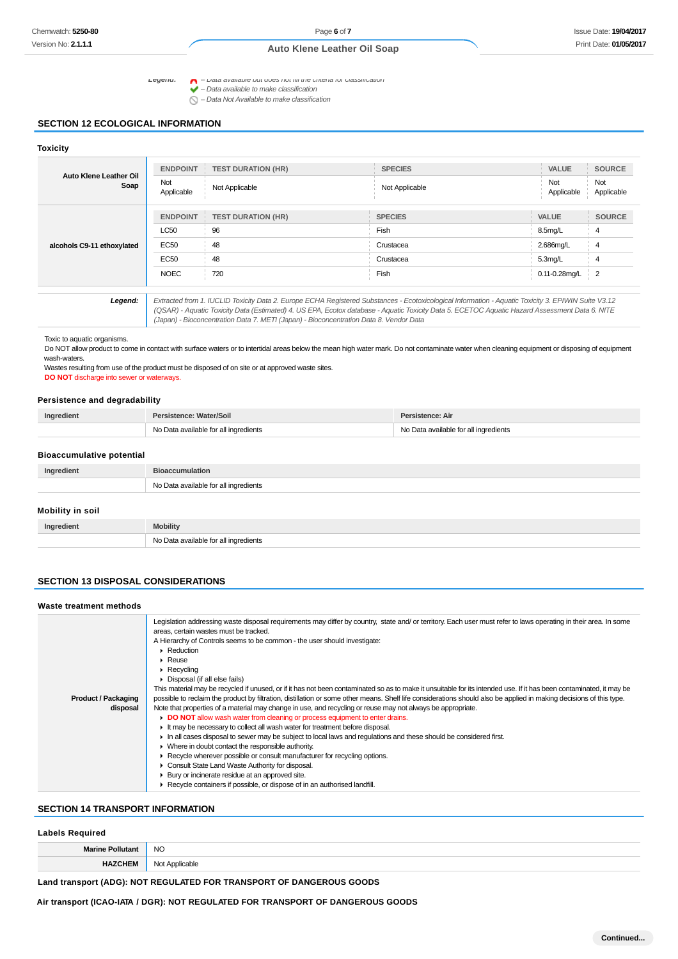Legena:  $\bigcap$  - Data available but does not fill the criteria for classification

 $\blacktriangle$  –  $\nu$  –  $\alpha$  available to make classification<br> $\blacktriangleright$  – Data available to make classification

 $\bigcirc$  – Data Not Available to make classification

#### **SECTION 12 ECOLOGICAL INFORMATION**

#### **Toxicity**

| Auto Klene Leather Oil<br>Soap | <b>ENDPOINT</b><br>Not<br>Applicable                                                                                                                                                                                                                                                                                                                                                            | <b>TEST DURATION (HR)</b><br>Not Applicable | <b>SPECIES</b><br>Not Applicable | <b>VALUE</b><br>Not<br>Applicable | <b>SOURCE</b><br>Not<br>Applicable |
|--------------------------------|-------------------------------------------------------------------------------------------------------------------------------------------------------------------------------------------------------------------------------------------------------------------------------------------------------------------------------------------------------------------------------------------------|---------------------------------------------|----------------------------------|-----------------------------------|------------------------------------|
|                                | <b>ENDPOINT</b>                                                                                                                                                                                                                                                                                                                                                                                 | <b>TEST DURATION (HR)</b>                   | <b>SPECIES</b>                   | <b>VALUE</b>                      | <b>SOURCE</b>                      |
| alcohols C9-11 ethoxylated     | <b>LC50</b>                                                                                                                                                                                                                                                                                                                                                                                     | 96                                          | Fish                             | 8.5mg/L                           | 4                                  |
|                                | EC50                                                                                                                                                                                                                                                                                                                                                                                            | 48                                          | Crustacea                        | 2.686mg/L                         | $\overline{4}$                     |
|                                | EC50                                                                                                                                                                                                                                                                                                                                                                                            | 48                                          | Crustacea                        | $5.3$ mg/L                        | 4                                  |
|                                | <b>NOEC</b>                                                                                                                                                                                                                                                                                                                                                                                     | 720                                         | Fish                             | 0.11-0.28mg/L                     | $\overline{2}$                     |
|                                |                                                                                                                                                                                                                                                                                                                                                                                                 |                                             |                                  |                                   |                                    |
| Legend:                        | Extracted from 1. IUCLID Toxicity Data 2. Europe ECHA Registered Substances - Ecotoxicological Information - Aquatic Toxicity 3. EPIWIN Suite V3.12<br>(QSAR) - Aquatic Toxicity Data (Estimated) 4. US EPA, Ecotox database - Aquatic Toxicity Data 5. ECETOC Aquatic Hazard Assessment Data 6. NITE<br>(Japan) - Bioconcentration Data 7. METI (Japan) - Bioconcentration Data 8. Vendor Data |                                             |                                  |                                   |                                    |

Toxic to aquatic organisms.

Do NOT allow product to come in contact with surface waters or to intertidal areas below the mean high water mark. Do not contaminate water when cleaning equipment or disposing of equipment wash-waters.

Wastes resulting from use of the product must be disposed of on site or at approved waste sites. **DO NOT** discharge into sewer or waterways.

No Data available for all ingredients

#### **Persistence and degradability**

| <b>Ingrediem</b> | Persistence: Water/Soil               | Persistence: Air                 |
|------------------|---------------------------------------|----------------------------------|
|                  | a available for all ingredients<br>N٥ | a available for all ingredients. |

#### **Bioaccumulative potential**

| Ingredient       | <b>Bioaccumulation</b>                |  |
|------------------|---------------------------------------|--|
|                  | No Data available for all ingredients |  |
| Mobility in soil |                                       |  |
|                  |                                       |  |
| Ingredient       | <b>Mobility</b>                       |  |

#### **SECTION 13 DISPOSAL CONSIDERATIONS**

| Waste treatment methods                |                                                                                                                                                                                                                                                                                                                                                                                                                                                                                                                                                                                                                                                                                                                                                                                                                                                                                                                                                                                                                                                                                                                                                                                                                                                                                                                                                                                                                                                                                                 |  |  |
|----------------------------------------|-------------------------------------------------------------------------------------------------------------------------------------------------------------------------------------------------------------------------------------------------------------------------------------------------------------------------------------------------------------------------------------------------------------------------------------------------------------------------------------------------------------------------------------------------------------------------------------------------------------------------------------------------------------------------------------------------------------------------------------------------------------------------------------------------------------------------------------------------------------------------------------------------------------------------------------------------------------------------------------------------------------------------------------------------------------------------------------------------------------------------------------------------------------------------------------------------------------------------------------------------------------------------------------------------------------------------------------------------------------------------------------------------------------------------------------------------------------------------------------------------|--|--|
| <b>Product / Packaging</b><br>disposal | Legislation addressing waste disposal requirements may differ by country, state and/ or territory. Each user must refer to laws operating in their area. In some<br>areas, certain wastes must be tracked.<br>A Hierarchy of Controls seems to be common - the user should investigate:<br>$\triangleright$ Reduction<br>$\triangleright$ Reuse<br>$\triangleright$ Recycling<br>▶ Disposal (if all else fails)<br>This material may be recycled if unused, or if it has not been contaminated so as to make it unsuitable for its intended use. If it has been contaminated, it may be<br>possible to reclaim the product by filtration, distillation or some other means. Shelf life considerations should also be applied in making decisions of this type.<br>Note that properties of a material may change in use, and recycling or reuse may not always be appropriate.<br>DO NOT allow wash water from cleaning or process equipment to enter drains.<br>If the may be necessary to collect all wash water for treatment before disposal.<br>In all cases disposal to sewer may be subject to local laws and regulations and these should be considered first.<br>• Where in doubt contact the responsible authority.<br>▶ Recycle wherever possible or consult manufacturer for recycling options.<br>Consult State Land Waste Authority for disposal.<br>▶ Bury or incinerate residue at an approved site.<br>Recycle containers if possible, or dispose of in an authorised landfill. |  |  |

#### **SECTION 14 TRANSPORT INFORMATION**

## **Labels Required**

| <b>Marin</b> | <b>NC</b><br>$\sim$ |
|--------------|---------------------|
|              | .                   |

**Land transport (ADG): NOT REGULATED FOR TRANSPORT OF DANGEROUS GOODS**

**Air transport (ICAO-IATA / DGR): NOT REGULATED FOR TRANSPORT OF DANGEROUS GOODS**